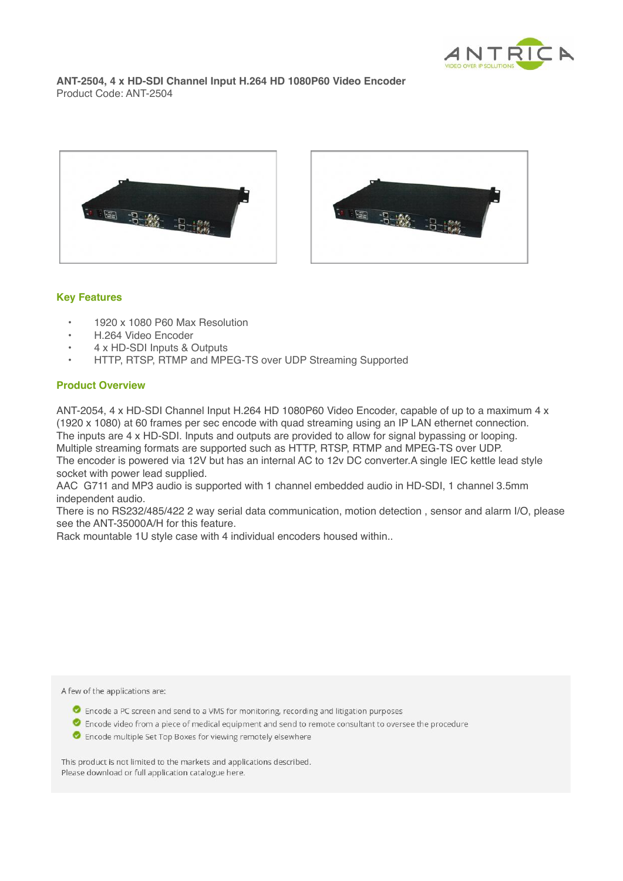

**ANT-2504, 4 x HD-SDI Channel Input H.264 HD 1080P60 Video Encoder** Product Code: ANT-2504



## **Key Features**

- 1920 x 1080 P60 Max Resolution
- H.264 Video Encoder
- 4 x HD-SDI Inputs & Outputs
- HTTP, RTSP, RTMP and MPEG-TS over UDP Streaming Supported

## **Product Overview**

ANT-2054, 4 x HD-SDI Channel Input H.264 HD 1080P60 Video Encoder, capable of up to a maximum 4 x (1920 x 1080) at 60 frames per sec encode with quad streaming using an IP LAN ethernet connection. The inputs are 4 x HD-SDI. Inputs and outputs are provided to allow for signal bypassing or looping. Multiple streaming formats are supported such as HTTP, RTSP, RTMP and MPEG-TS over UDP. The encoder is powered via 12V but has an internal AC to 12v DC converter.A single IEC kettle lead style socket with power lead supplied.

AAC G711 and MP3 audio is supported with 1 channel embedded audio in HD-SDI, 1 channel 3.5mm independent audio.

There is no RS232/485/422 2 way serial data communication, motion detection , sensor and alarm I/O, please see the ANT-35000A/H for this feature.

Rack mountable 1U style case with 4 individual encoders housed within..

A few of the applications are:

- Encode a PC screen and send to a VMS for monitoring, recording and litigation purposes
- C Encode video from a piece of medical equipment and send to remote consultant to oversee the procedure
- Encode multiple Set Top Boxes for viewing remotely elsewhere

This product is not limited to the markets and applications described. Please download or full application catalogue here.